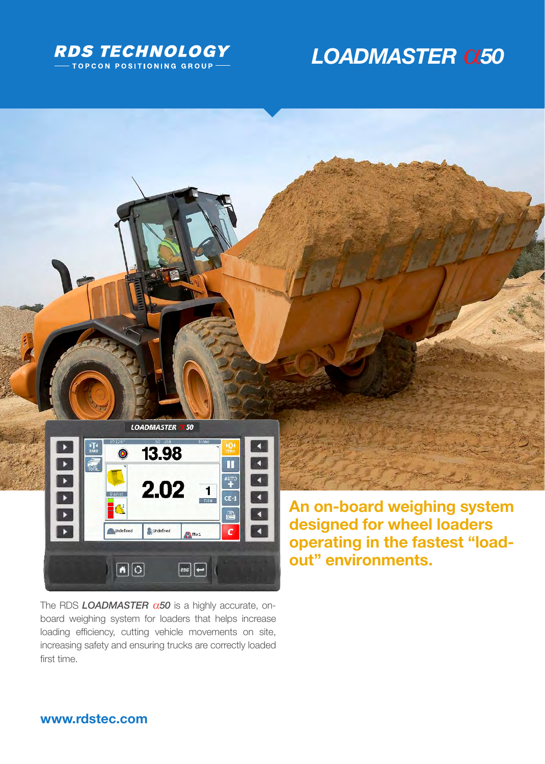

# **LOADMASTER Q50**



The RDS **LOADMASTER**  $\alpha$ 50 is a highly accurate, onboard weighing system for loaders that helps increase loading efficiency, cutting vehicle movements on site, increasing safety and ensuring trucks are correctly loaded first time.

 $\boxed{\text{esc}}$ 

 $\boxed{\bullet}$ 

designed for wheel loaders operating in the fastest "loadout" environments.